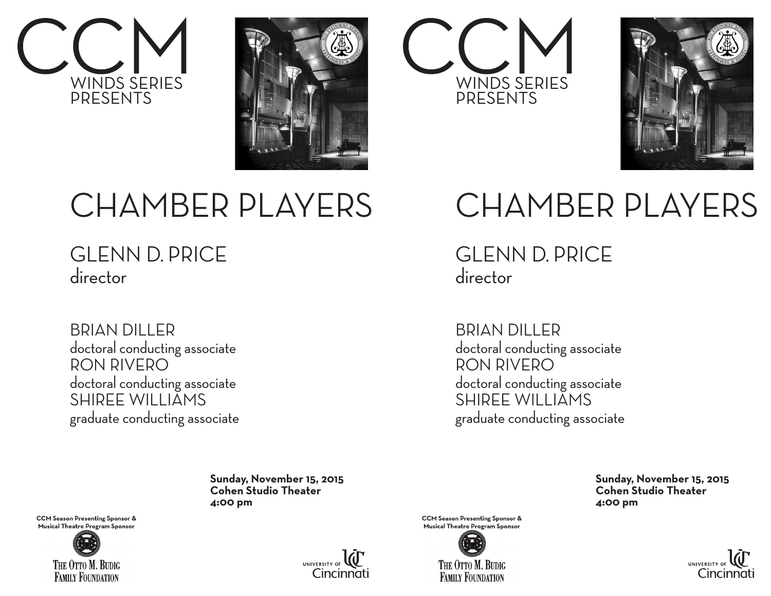







## CHAMBER PLAYERS

GLENN D. PRICE director

BRIAN DILLER doctoral conducting associate RON RIVERO doctoral conducting associate SHIREE WILLIAMS graduate conducting associate

### CHAMBER PLAYERS

GLENN D. PRICE director

BRIAN DILLER doctoral conducting associate RON RIVERO doctoral conducting associate SHIREE WILLIAMS graduate conducting associate

 **Sunday, November 15, 2015 Cohen Studio Theater 4:00 pm**

**CCM Season Presenting Sponsor & Musical Theatre Program Sponsor** 





**CCM Season Presenting Sponsor & Musical Theatre Program Sponsor** 



 **Sunday, November 15, 2015 Cohen Studio Theater 4:00 pm**